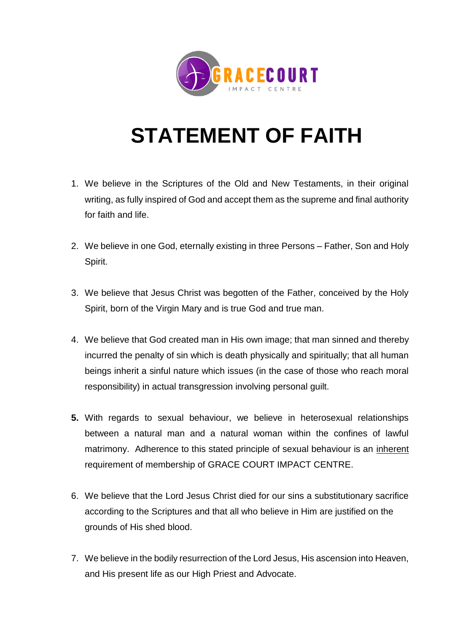

## **STATEMENT OF FAITH**

- 1. We believe in the Scriptures of the Old and New Testaments, in their original writing, as fully inspired of God and accept them as the supreme and final authority for faith and life.
- 2. We believe in one God, eternally existing in three Persons Father, Son and Holy Spirit.
- 3. We believe that Jesus Christ was begotten of the Father, conceived by the Holy Spirit, born of the Virgin Mary and is true God and true man.
- 4. We believe that God created man in His own image; that man sinned and thereby incurred the penalty of sin which is death physically and spiritually; that all human beings inherit a sinful nature which issues (in the case of those who reach moral responsibility) in actual transgression involving personal guilt.
- **5.** With regards to sexual behaviour, we believe in heterosexual relationships between a natural man and a natural woman within the confines of lawful matrimony. Adherence to this stated principle of sexual behaviour is an inherent requirement of membership of GRACE COURT IMPACT CENTRE.
- 6. We believe that the Lord Jesus Christ died for our sins a substitutionary sacrifice according to the Scriptures and that all who believe in Him are justified on the grounds of His shed blood.
- 7. We believe in the bodily resurrection of the Lord Jesus, His ascension into Heaven, and His present life as our High Priest and Advocate.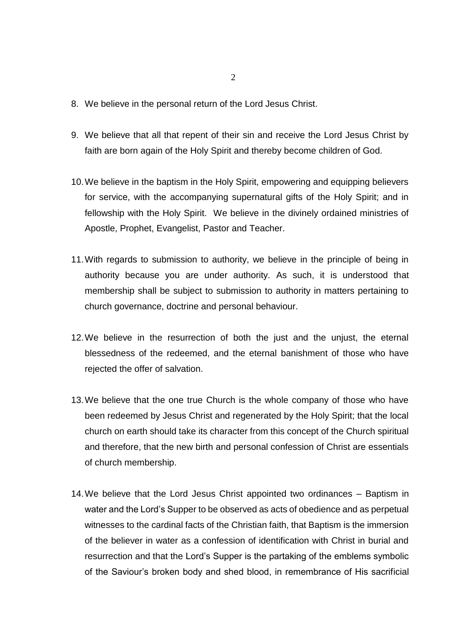- 8. We believe in the personal return of the Lord Jesus Christ.
- 9. We believe that all that repent of their sin and receive the Lord Jesus Christ by faith are born again of the Holy Spirit and thereby become children of God.
- 10.We believe in the baptism in the Holy Spirit, empowering and equipping believers for service, with the accompanying supernatural gifts of the Holy Spirit; and in fellowship with the Holy Spirit. We believe in the divinely ordained ministries of Apostle, Prophet, Evangelist, Pastor and Teacher.
- 11.With regards to submission to authority, we believe in the principle of being in authority because you are under authority. As such, it is understood that membership shall be subject to submission to authority in matters pertaining to church governance, doctrine and personal behaviour.
- 12.We believe in the resurrection of both the just and the unjust, the eternal blessedness of the redeemed, and the eternal banishment of those who have rejected the offer of salvation.
- 13.We believe that the one true Church is the whole company of those who have been redeemed by Jesus Christ and regenerated by the Holy Spirit; that the local church on earth should take its character from this concept of the Church spiritual and therefore, that the new birth and personal confession of Christ are essentials of church membership.
- 14.We believe that the Lord Jesus Christ appointed two ordinances Baptism in water and the Lord's Supper to be observed as acts of obedience and as perpetual witnesses to the cardinal facts of the Christian faith, that Baptism is the immersion of the believer in water as a confession of identification with Christ in burial and resurrection and that the Lord's Supper is the partaking of the emblems symbolic of the Saviour's broken body and shed blood, in remembrance of His sacrificial